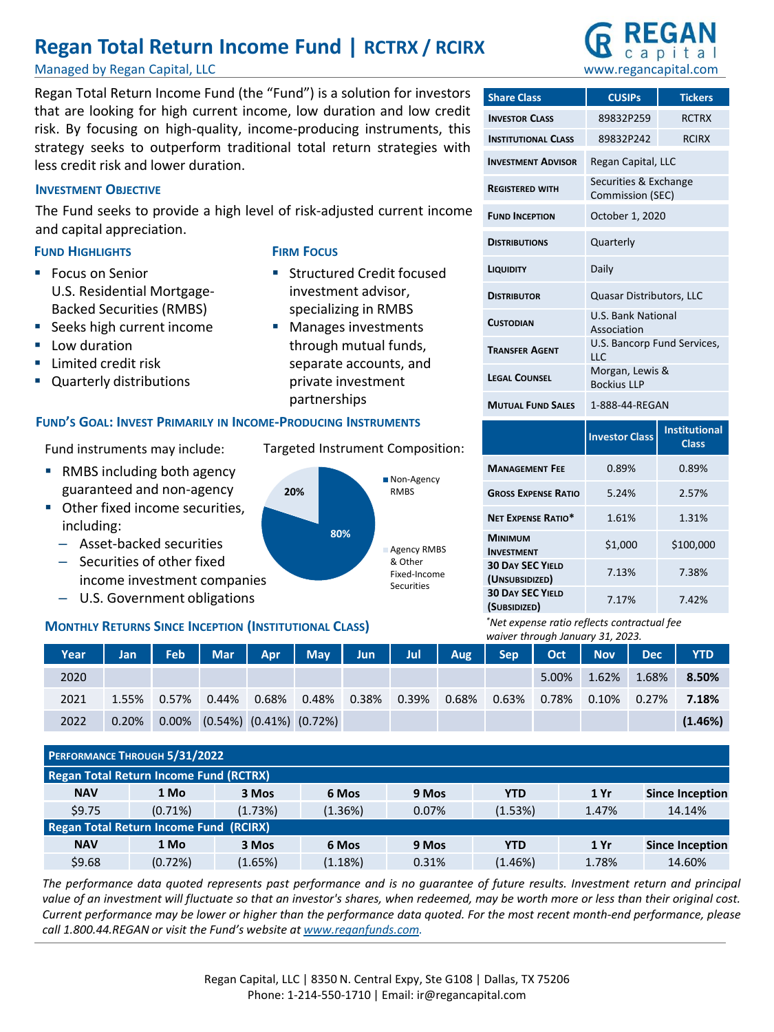# **Regan Total Return Income Fund | RCTRX / RCIRX**

Managed by Regan Capital, LLC

Regan Total Return Income Fund (the "Fund") is a solution for investors that are looking for high current income, low duration and low credit risk. By focusing on high-quality, income-producing instruments, this strategy seeks to outperform traditional total return strategies with less credit risk and lower duration.

# **INVESTMENT OBJECTIVE**

The Fund seeks to provide a high level of risk-adjusted current income and capital appreciation.

**FIRM FOCUS**

# **FUND HIGHLIGHTS**

- Focus on Senior U.S. Residential Mortgage-Backed Securities (RMBS)
- Seeks high current income
- Low duration
- **E** Limited credit risk
- Quarterly distributions

# **FUND'S GOAL: INVEST PRIMARILY IN INCOME-PRODUCING INSTRUMENTS**

Fund instruments may include:

- RMBS including both agency guaranteed and non-agency
- Other fixed income securities, including:
	- Asset-backed securities
	- Securities of other fixed income investment companies
	- U.S. Government obligations

# **MONTHLY RETURNS SINCE INCEPTION (INSTITUTIONAL CLASS)**

|      |       |       |                                           |       |                     |       |       |       | waiver through Junuary 31, 2023. |                     |       |                |            |
|------|-------|-------|-------------------------------------------|-------|---------------------|-------|-------|-------|----------------------------------|---------------------|-------|----------------|------------|
| Year | Jan   | Feb.  | Mar l'                                    | Apr   | May Jun Jul Aug Sep |       |       |       |                                  | $\vert$ Oct $\vert$ | Nov I | Dec <b>Dec</b> | <b>YTD</b> |
| 2020 |       |       |                                           |       |                     |       |       |       |                                  | 5.00%               | 1.62% | 1.68%          | 8.50%      |
| 2021 | 1.55% | 0.57% | 0.44%                                     | 0.68% | 0.48%               | 0.38% | 0.39% | 0.68% | 0.63%                            | 0.78%               | 0.10% | 0.27%          | 7.18%      |
| 2022 | 0.20% |       | $0.00\%$ $(0.54\%)$ $(0.41\%)$ $(0.72\%)$ |       |                     |       |       |       |                                  |                     |       |                | (1.46%)    |

|            | PERFORMANCE THROUGH 5/31/2022                 |         |         |       |            |       |                        |
|------------|-----------------------------------------------|---------|---------|-------|------------|-------|------------------------|
|            | <b>Regan Total Return Income Fund (RCTRX)</b> |         |         |       |            |       |                        |
| <b>NAV</b> | 1 Mo                                          | 3 Mos   | 6 Mos   | 9 Mos | <b>YTD</b> | 1 Yr  | <b>Since Inception</b> |
| \$9.75     | $(0.71\%)$                                    | (1.73%) | (1.36%) | 0.07% | (1.53%)    | 1.47% | 14.14%                 |
|            | <b>Regan Total Return Income Fund (RCIRX)</b> |         |         |       |            |       |                        |
| <b>NAV</b> | 1 Mo                                          | 3 Mos   | 6 Mos   | 9 Mos | <b>YTD</b> | 1 Yr  | <b>Since Inception</b> |
| \$9.68     | (0.72%)                                       | (1.65%) | (1.18%) | 0.31% | (1.46%)    | 1.78% | 14.60%                 |

The performance data quoted represents past performance and is no guarantee of future results. Investment return and principal value of an investment will fluctuate so that an investor's shares, when redeemed, may be worth more or less than their original cost. Current performance may be lower or higher than the performance data quoted. For the most recent month-end performance, please *call 1.800.44.REGAN or visit the Fund's website at [www.reganfunds.com.](http://www.reganfunds.com/)*

Targeted Instrument Composition:

**EXECUTED EXECUTED** Structured Credit focused investment advisor, specializing in RMBS ■ Manages investments through mutual funds, separate accounts, and private investment partnerships



# www.regancapital.com

| <b>Share Class</b>         | <b>CUSIPs</b>                                          | <b>Tickers</b> |  |  |  |
|----------------------------|--------------------------------------------------------|----------------|--|--|--|
| <b>INVESTOR CLASS</b>      | 89832P259                                              | <b>RCTRX</b>   |  |  |  |
| <b>INSTITUTIONAL CLASS</b> | 89832P242                                              | <b>RCIRX</b>   |  |  |  |
| <b>INVESTMENT ADVISOR</b>  | Regan Capital, LLC                                     |                |  |  |  |
| <b>REGISTERED WITH</b>     | Securities & Exchange<br>Commission (SEC)              |                |  |  |  |
| <b>FUND INCEPTION</b>      | October 1, 2020                                        |                |  |  |  |
| <b>DISTRIBUTIONS</b>       | Quarterly                                              |                |  |  |  |
| LIQUIDITY                  | Daily                                                  |                |  |  |  |
| <b>DISTRIBUTOR</b>         | Quasar Distributors, LLC                               |                |  |  |  |
| <b>CUSTODIAN</b>           | <b>U.S. Bank National</b><br>Association               |                |  |  |  |
| <b>TRANSFER AGENT</b>      | U.S. Bancorp Fund Services,<br>$\overline{\mathsf{H}}$ |                |  |  |  |
| <b>LEGAL COUNSEL</b>       | Morgan, Lewis &<br><b>Bockius LLP</b>                  |                |  |  |  |
| <b>MUTUAL FUND SALES</b>   | 1-888-44-REGAN                                         |                |  |  |  |

|                                           | <b>Investor Class</b> | <b>Institutional</b><br><b>Class</b> |
|-------------------------------------------|-----------------------|--------------------------------------|
| <b>MANAGEMENT FEE</b>                     | 0.89%                 | 0.89%                                |
| <b>GROSS EXPENSE RATIO</b>                | 5.24%                 | 2.57%                                |
| <b>NFT EXPENSE RATIO*</b>                 | 1.61%                 | 1.31%                                |
| <b>MINIMUM</b><br><b>INVESTMENT</b>       | \$1,000               | \$100.000                            |
| <b>30 DAY SEC YIELD</b><br>(UNSUBSIDIZED) | 7.13%                 | 7.38%                                |
| <b>30 DAY SEC YIELD</b><br>(SUBSIDIZED)   | 7.17%                 | 7.42%                                |

*\*Net expense ratio reflects contractual fee waiver through January 31, 2023.*